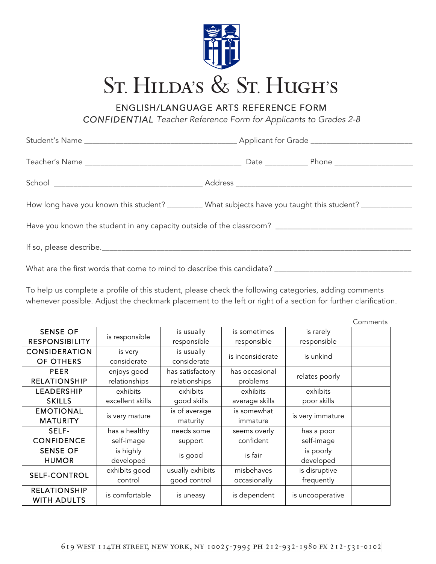

ENGLISH/LANGUAGE ARTS REFERENCE FORM

*CONFIDENTIAL Teacher Reference Form for Applicants to Grades 2-8*

|  | How long have you known this student? _________ What subjects have you taught this student? _____________ |  |  |  |  |  |  |
|--|-----------------------------------------------------------------------------------------------------------|--|--|--|--|--|--|
|  |                                                                                                           |  |  |  |  |  |  |
|  |                                                                                                           |  |  |  |  |  |  |
|  |                                                                                                           |  |  |  |  |  |  |

To help us complete a profile of this student, please check the following categories, adding comments whenever possible. Adjust the checkmark placement to the left or right of a section for further clarification.

|                                           |                  |                                |                |                  | Comments |
|-------------------------------------------|------------------|--------------------------------|----------------|------------------|----------|
| <b>SENSE OF</b>                           | is responsible   | is usually                     | is sometimes   | is rarely        |          |
| <b>RESPONSIBILITY</b>                     |                  | responsible                    | responsible    | responsible      |          |
| <b>CONSIDERATION</b>                      | is very          | is usually<br>is inconsiderate |                | is unkind        |          |
| OF OTHERS                                 | considerate      | considerate                    |                |                  |          |
| <b>PEER</b>                               | enjoys good      | has satisfactory               | has occasional | relates poorly   |          |
| <b>RELATIONSHIP</b>                       | relationships    | relationships                  | problems       |                  |          |
| LEADERSHIP                                | exhibits         | exhibits                       | exhibits       | exhibits         |          |
| <b>SKILLS</b>                             | excellent skills | good skills                    | average skills | poor skills      |          |
| <b>EMOTIONAL</b>                          |                  | is of average                  | is somewhat    | is very immature |          |
| <b>MATURITY</b>                           | is very mature   | maturity                       | immature       |                  |          |
| SELF-                                     | has a healthy    | needs some                     | seems overly   | has a poor       |          |
| <b>CONFIDENCE</b>                         | self-image       | support                        | confident      | self-image       |          |
| <b>SENSE OF</b>                           | is highly        |                                |                | is poorly        |          |
| <b>HUMOR</b>                              | developed        | is good                        | is fair        | developed        |          |
| <b>SELF-CONTROL</b>                       | exhibits good    | usually exhibits               | misbehaves     | is disruptive    |          |
|                                           | control          | good control                   | occasionally   | frequently       |          |
| <b>RELATIONSHIP</b><br><b>WITH ADULTS</b> | is comfortable   | is uneasy                      | is dependent   | is uncooperative |          |